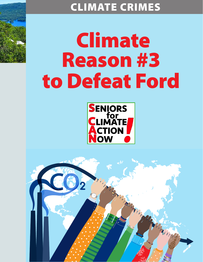# CLIMATE CRIMES

# Climate Reason #3 to Defeat Ford



Marian

Thompson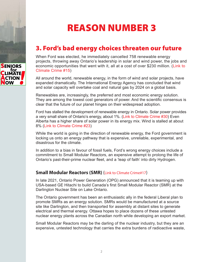# REASON NUMBER 3

## 3. Ford's bad energy choices threaten our future

When Ford was elected, he immediately cancelled 758 renewable energy projects, throwing away Ontario's leadership in solar and wind power, the jobs and economic opportunities that went with it, all at a cost of over \$230 million. ([Link to](https://seniorsforclimateactionnow.org/wp-content/uploads/2022/04/SCAN-Climate-Crime-15-2022-03-23.pdf)  [Climate Crime #15\)](https://seniorsforclimateactionnow.org/wp-content/uploads/2022/04/SCAN-Climate-Crime-15-2022-03-23.pdf)

All around the world, renewable energy, in the form of wind and solar projects, have expanded dramatically. The International Energy Agency has concluded that wind and solar capacity will overtake coal and natural gas by 2024 on a global basis.

Renewables are, increasingly, the preferred and most economic energy solution. They are among the lowest cost generators of power. And the scientific consensus is clear that the future of our planet hinges on their widespread adoption.

Ford has stalled the development of renewable energy in Ontario. Solar power provides a very small share of Ontario's energy, about 1%. [\(Link to Climate Crime #30\)](https://seniorsforclimateactionnow.org/wp-content/uploads/2022/04/SCAN-Climate-Crime-30-2022-04-08.pdf) Even Alberta has a higher share of solar power in its energy mix. Wind is stalled at about 8% ([Link to Climate Crime #23](https://seniorsforclimateactionnow.org/wp-content/uploads/2022/04/SCAN-Climate-Crime-23-2022-03-29.pdf))

While the world is going in the direction of renewable energy, the Ford government is locking us onto an energy pathway that is expensive, unreliable, experimental, and disastrous for the climate.

In addition to a bias in favour of fossil fuels, Ford's wrong energy choices include a commitment to Small Modular Reactors, an expensive attempt to prolong the life of Ontario's past-their-prime nuclear fleet, and a 'leap of faith' into dirty Hydrogen.

### **Small Modular Reactors (SMR)** ([Link to Climate Crime#17\)](https://seniorsforclimateactionnow.org/wp-content/uploads/2022/04/SCAN-Climate-Crime-17-2022-03-19.pdf)

In late 2021, Ontario Power Generation (OPG) announced that it is teaming up with USA-based GE Hitachi to build Canada's first Small Modular Reactor (SMR) at the Darlington Nuclear Site on Lake Ontario.

The Ontario government has been an enthusiastic ally in the federal Liberal plan to promote SMRs as an energy solution. SMRs would be manufactured at a source site like Darlington, and then transported for assembly at distant sites to generate electrical and thermal energy. Ottawa hopes to place dozens of these untested nuclear energy plants across the Canadian north while developing an export market.

Small Modular Reactors may be the darling of the nuclear industry, but they are an expensive, untested technology that carries the extra burdens of radioactive waste,